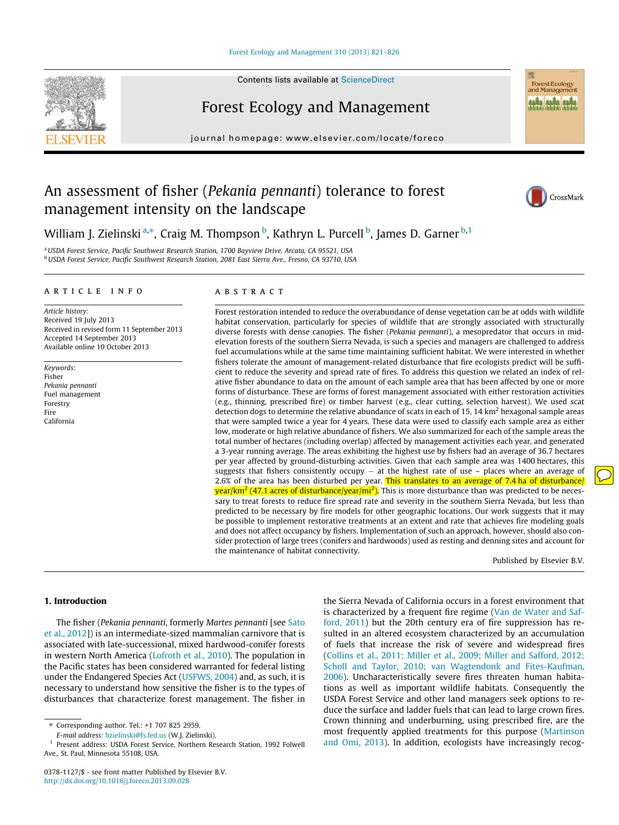## [Forest Ecology and Management 310 \(2013\) 821–826](http://dx.doi.org/10.1016/j.foreco.2013.09.028)





journal homepage: [www.elsevier.com/locate/foreco](http://www.elsevier.com/locate/foreco)

# An assessment of fisher (Pekania pennanti) tolerance to forest management intensity on the landscape



Forest Ecology<br>and Management **ALÂN ALÂN ALÂN** 

William J. Zielinski <sup>a,</sup>\*, Craig M. Thompson <sup>b</sup>, Kathryn L. Purcell <sup>b</sup>, James D. Garner <sup>b,1</sup>

<sup>a</sup> USDA Forest Service, Pacific Southwest Research Station, 1700 Bayview Drive, Arcata, CA 95521, USA **b** USDA Forest Service, Pacific Southwest Research Station, 2081 East Sierra Ave., Fresno, CA 93710, USA

# article info

Article history: Received 19 July 2013 Received in revised form 11 September 2013 Accepted 14 September 2013 Available online 10 October 2013

Keywords: Fisher Pekania pennanti Fuel management Forestry Fire California

# **ABSTRACT**

Forest restoration intended to reduce the overabundance of dense vegetation can be at odds with wildlife habitat conservation, particularly for species of wildlife that are strongly associated with structurally diverse forests with dense canopies. The fisher (Pekania pennanti), a mesopredator that occurs in midelevation forests of the southern Sierra Nevada, is such a species and managers are challenged to address fuel accumulations while at the same time maintaining sufficient habitat. We were interested in whether fishers tolerate the amount of management-related disturbance that fire ecologists predict will be sufficient to reduce the severity and spread rate of fires. To address this question we related an index of relative fisher abundance to data on the amount of each sample area that has been affected by one or more forms of disturbance. These are forms of forest management associated with either restoration activities (e.g., thinning, prescribed fire) or timber harvest (e.g., clear cutting, selection harvest). We used scat detection dogs to determine the relative abundance of scats in each of 15, 14  $\text{km}^2$  hexagonal sample areas that were sampled twice a year for 4 years. These data were used to classify each sample area as either low, moderate or high relative abundance of fishers. We also summarized for each of the sample areas the total number of hectares (including overlap) affected by management activities each year, and generated a 3-year running average. The areas exhibiting the highest use by fishers had an average of 36.7 hectares per year affected by ground-disturbing activities. Given that each sample area was 1400 hectares, this suggests that fishers consistently occupy  $-$  at the highest rate of use  $-$  places where an average of 2.6% of the area has been disturbed per year. This translates to an average of 7.4 ha of disturbance/ <mark>year/km<sup>2</sup> (47.1 acres of disturbance/year/mi<sup>2</sup>).</mark> This is more disturbance than was predicted to be necessary to treat forests to reduce fire spread rate and severity in the southern Sierra Nevada, but less than predicted to be necessary by fire models for other geographic locations. Our work suggests that it may be possible to implement restorative treatments at an extent and rate that achieves fire modeling goals and does not affect occupancy by fishers. Implementation of such an approach, however, should also consider protection of large trees (conifers and hardwoods) used as resting and denning sites and account for the maintenance of habitat connectivity.

Published by Elsevier B.V.

# 1. Introduction

The fisher (Pekania pennanti, formerly Martes pennanti [see Sato et al., 2012]) is an intermediate-sized mammalian carnivore that is associated with late-successional, mixed hardwood-conifer forests in western North America (Lofroth et al., 2010). The population in the Pacific states has been considered warranted for federal listing under the Endangered Species Act (USFWS, 2004) and, as such, it is necessary to understand how sensitive the fisher is to the types of disturbances that characterize forest management. The fisher in

⇑ Corresponding author. Tel.: +1 707 825 2959.

E-mail address: [bzielinski@fs.fed.us](mailto:bzielinski@fs.fed.us) (W.J. Zielinski).

the Sierra Nevada of California occurs in a forest environment that is characterized by a frequent fire regime (Van de Water and Safford, 2011) but the 20th century era of fire suppression has resulted in an altered ecosystem characterized by an accumulation of fuels that increase the risk of severe and widespread fires (Collins et al., 2011; Miller et al., 2009; Miller and Safford, 2012; Scholl and Taylor, 2010; van Wagtendonk and Fites-Kaufman, 2006). Uncharacteristically severe fires threaten human habitations as well as important wildlife habitats. Consequently the USDA Forest Service and other land managers seek options to reduce the surface and ladder fuels that can lead to large crown fires. Crown thinning and underburning, using prescribed fire, are the most frequently applied treatments for this purpose (Martinson and Omi, 2013). In addition, ecologists have increasingly recog-

Present address: USDA Forest Service, Northern Research Station, 1992 Folwell Ave., St. Paul, Minnesota 55108, USA.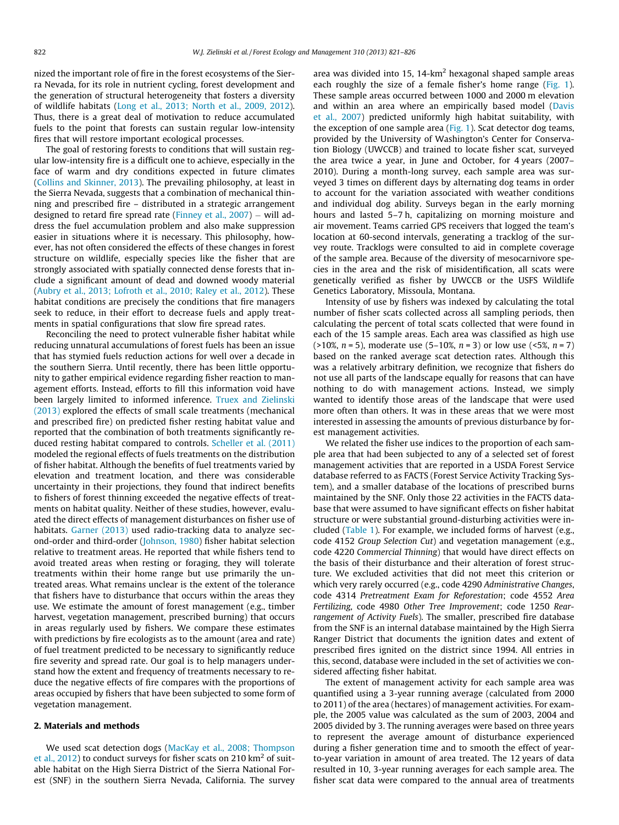nized the important role of fire in the forest ecosystems of the Sierra Nevada, for its role in nutrient cycling, forest development and the generation of structural heterogeneity that fosters a diversity of wildlife habitats (Long et al., 2013; North et al., 2009, 2012). Thus, there is a great deal of motivation to reduce accumulated fuels to the point that forests can sustain regular low-intensity fires that will restore important ecological processes.

The goal of restoring forests to conditions that will sustain regular low-intensity fire is a difficult one to achieve, especially in the face of warm and dry conditions expected in future climates (Collins and Skinner, 2013). The prevailing philosophy, at least in the Sierra Nevada, suggests that a combination of mechanical thinning and prescribed fire – distributed in a strategic arrangement designed to retard fire spread rate (Finney et al., 2007) – will address the fuel accumulation problem and also make suppression easier in situations where it is necessary. This philosophy, however, has not often considered the effects of these changes in forest structure on wildlife, especially species like the fisher that are strongly associated with spatially connected dense forests that include a significant amount of dead and downed woody material (Aubry et al., 2013; Lofroth et al., 2010; Raley et al., 2012). These habitat conditions are precisely the conditions that fire managers seek to reduce, in their effort to decrease fuels and apply treatments in spatial configurations that slow fire spread rates.

Reconciling the need to protect vulnerable fisher habitat while reducing unnatural accumulations of forest fuels has been an issue that has stymied fuels reduction actions for well over a decade in the southern Sierra. Until recently, there has been little opportunity to gather empirical evidence regarding fisher reaction to management efforts. Instead, efforts to fill this information void have been largely limited to informed inference. Truex and Zielinski (2013) explored the effects of small scale treatments (mechanical and prescribed fire) on predicted fisher resting habitat value and reported that the combination of both treatments significantly reduced resting habitat compared to controls. Scheller et al. (2011) modeled the regional effects of fuels treatments on the distribution of fisher habitat. Although the benefits of fuel treatments varied by elevation and treatment location, and there was considerable uncertainty in their projections, they found that indirect benefits to fishers of forest thinning exceeded the negative effects of treatments on habitat quality. Neither of these studies, however, evaluated the direct effects of management disturbances on fisher use of habitats. Garner (2013) used radio-tracking data to analyze second-order and third-order (Johnson, 1980) fisher habitat selection relative to treatment areas. He reported that while fishers tend to avoid treated areas when resting or foraging, they will tolerate treatments within their home range but use primarily the untreated areas. What remains unclear is the extent of the tolerance that fishers have to disturbance that occurs within the areas they use. We estimate the amount of forest management (e.g., timber harvest, vegetation management, prescribed burning) that occurs in areas regularly used by fishers. We compare these estimates with predictions by fire ecologists as to the amount (area and rate) of fuel treatment predicted to be necessary to significantly reduce fire severity and spread rate. Our goal is to help managers understand how the extent and frequency of treatments necessary to reduce the negative effects of fire compares with the proportions of areas occupied by fishers that have been subjected to some form of vegetation management.

# 2. Materials and methods

We used scat detection dogs (MacKay et al., 2008; Thompson et al., 2012) to conduct surveys for fisher scats on 210  $\text{km}^2$  of suitable habitat on the High Sierra District of the Sierra National Forest (SNF) in the southern Sierra Nevada, California. The survey

area was divided into 15, 14- $km<sup>2</sup>$  hexagonal shaped sample areas each roughly the size of a female fisher's home range (Fig. 1). These sample areas occurred between 1000 and 2000 m elevation and within an area where an empirically based model (Davis et al., 2007) predicted uniformly high habitat suitability, with the exception of one sample area (Fig. 1). Scat detector dog teams, provided by the University of Washington's Center for Conservation Biology (UWCCB) and trained to locate fisher scat, surveyed the area twice a year, in June and October, for 4 years (2007– 2010). During a month-long survey, each sample area was surveyed 3 times on different days by alternating dog teams in order to account for the variation associated with weather conditions and individual dog ability. Surveys began in the early morning hours and lasted 5–7 h, capitalizing on morning moisture and air movement. Teams carried GPS receivers that logged the team's location at 60-second intervals, generating a tracklog of the survey route. Tracklogs were consulted to aid in complete coverage of the sample area. Because of the diversity of mesocarnivore species in the area and the risk of misidentification, all scats were genetically verified as fisher by UWCCB or the USFS Wildlife Genetics Laboratory, Missoula, Montana.

Intensity of use by fishers was indexed by calculating the total number of fisher scats collected across all sampling periods, then calculating the percent of total scats collected that were found in each of the 15 sample areas. Each area was classified as high use ( $>10\%$ ,  $n = 5$ ), moderate use (5–10%,  $n = 3$ ) or low use ( $<5\%$ ,  $n = 7$ ) based on the ranked average scat detection rates. Although this was a relatively arbitrary definition, we recognize that fishers do not use all parts of the landscape equally for reasons that can have nothing to do with management actions. Instead, we simply wanted to identify those areas of the landscape that were used more often than others. It was in these areas that we were most interested in assessing the amounts of previous disturbance by forest management activities.

We related the fisher use indices to the proportion of each sample area that had been subjected to any of a selected set of forest management activities that are reported in a USDA Forest Service database referred to as FACTS (Forest Service Activity Tracking System), and a smaller database of the locations of prescribed burns maintained by the SNF. Only those 22 activities in the FACTS database that were assumed to have significant effects on fisher habitat structure or were substantial ground-disturbing activities were included (Table 1). For example, we included forms of harvest (e.g., code 4152 Group Selection Cut) and vegetation management (e.g., code 4220 Commercial Thinning) that would have direct effects on the basis of their disturbance and their alteration of forest structure. We excluded activities that did not meet this criterion or which very rarely occurred (e.g., code 4290 Administrative Changes, code 4314 Pretreatment Exam for Reforestation; code 4552 Area Fertilizing, code 4980 Other Tree Improvement; code 1250 Rearrangement of Activity Fuels). The smaller, prescribed fire database from the SNF is an internal database maintained by the High Sierra Ranger District that documents the ignition dates and extent of prescribed fires ignited on the district since 1994. All entries in this, second, database were included in the set of activities we considered affecting fisher habitat.

The extent of management activity for each sample area was quantified using a 3-year running average (calculated from 2000 to 2011) of the area (hectares) of management activities. For example, the 2005 value was calculated as the sum of 2003, 2004 and 2005 divided by 3. The running averages were based on three years to represent the average amount of disturbance experienced during a fisher generation time and to smooth the effect of yearto-year variation in amount of area treated. The 12 years of data resulted in 10, 3-year running averages for each sample area. The fisher scat data were compared to the annual area of treatments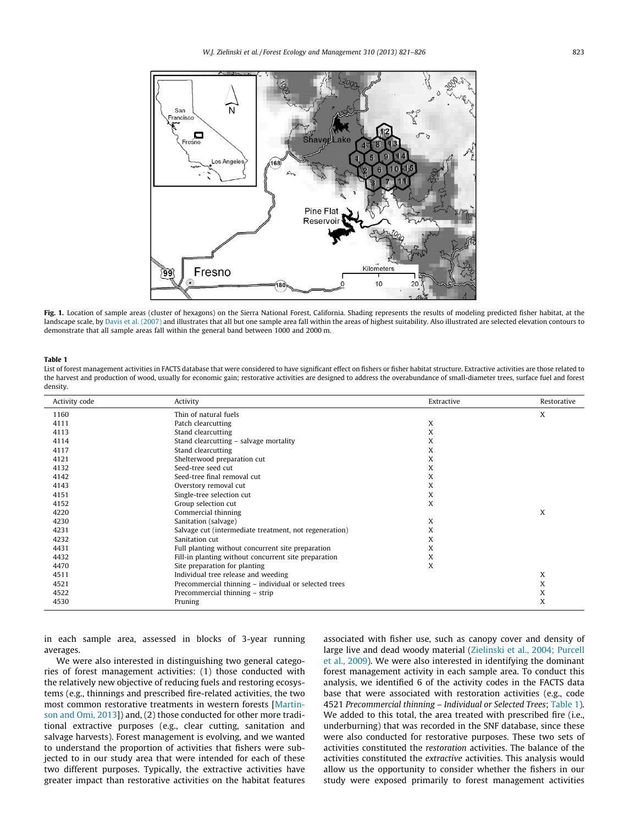

Fig. 1. Location of sample areas (cluster of hexagons) on the Sierra National Forest, California. Shading represents the results of modeling predicted fisher habitat, at the landscape scale, by Davis et al. (2007) and illustrates that all but one sample area fall within the areas of highest suitability. Also illustrated are selected elevation contours to demonstrate that all sample areas fall within the general band between 1000 and 2000 m.

#### Table 1

List of forest management activities in FACTS database that were considered to have significant effect on fishers or fisher habitat structure. Extractive activities are those related to the harvest and production of wood, usually for economic gain; restorative activities are designed to address the overabundance of small-diameter trees, surface fuel and forest density.

| Activity code | Activity                                               | Extractive | Restorative |
|---------------|--------------------------------------------------------|------------|-------------|
| 1160          | Thin of natural fuels                                  |            | X           |
| 4111          | Patch clearcutting                                     | X          |             |
| 4113          | Stand clearcutting                                     | X          |             |
| 4114          | Stand clearcutting - salvage mortality                 | X          |             |
| 4117          | Stand clearcutting                                     | X          |             |
| 4121          | Shelterwood preparation cut                            | X          |             |
| 4132          | Seed-tree seed cut                                     | X          |             |
| 4142          | Seed-tree final removal cut                            | X          |             |
| 4143          | Overstory removal cut                                  | X          |             |
| 4151          | Single-tree selection cut                              | X          |             |
| 4152          | Group selection cut                                    | X          |             |
| 4220          | Commercial thinning                                    |            | X           |
| 4230          | Sanitation (salvage)                                   | X          |             |
| 4231          | Salvage cut (intermediate treatment, not regeneration) | X          |             |
| 4232          | Sanitation cut                                         | X          |             |
| 4431          | Full planting without concurrent site preparation      | X          |             |
| 4432          | Fill-in planting without concurrent site preparation   | X          |             |
| 4470          | Site preparation for planting                          | X          |             |
| 4511          | Individual tree release and weeding                    |            | X           |
| 4521          | Precommercial thinning - individual or selected trees  |            | X           |
| 4522          | Precommercial thinning - strip                         |            | X           |
| 4530          | Pruning                                                |            | X           |

in each sample area, assessed in blocks of 3-year running averages.

We were also interested in distinguishing two general categories of forest management activities: (1) those conducted with the relatively new objective of reducing fuels and restoring ecosystems (e.g., thinnings and prescribed fire-related activities, the two most common restorative treatments in western forests [Martinson and Omi, 2013]) and, (2) those conducted for other more traditional extractive purposes (e.g., clear cutting, sanitation and salvage harvests). Forest management is evolving, and we wanted to understand the proportion of activities that fishers were subjected to in our study area that were intended for each of these two different purposes. Typically, the extractive activities have greater impact than restorative activities on the habitat features associated with fisher use, such as canopy cover and density of large live and dead woody material (Zielinski et al., 2004; Purcell et al., 2009). We were also interested in identifying the dominant forest management activity in each sample area. To conduct this analysis, we identified 6 of the activity codes in the FACTS data base that were associated with restoration activities (e.g., code 4521 Precommercial thinning – Individual or Selected Trees; Table 1). We added to this total, the area treated with prescribed fire (i.e., underburning) that was recorded in the SNF database, since these were also conducted for restorative purposes. These two sets of activities constituted the restoration activities. The balance of the activities constituted the extractive activities. This analysis would allow us the opportunity to consider whether the fishers in our study were exposed primarily to forest management activities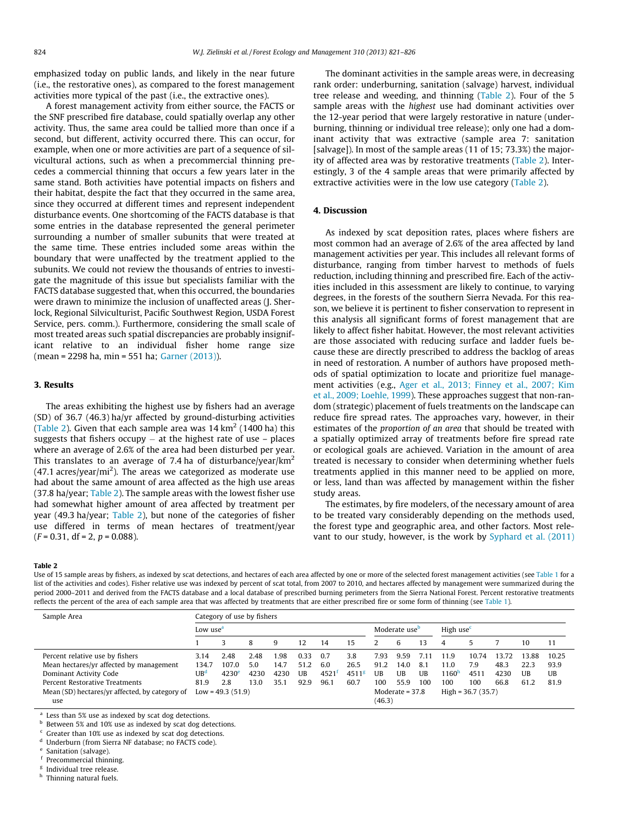emphasized today on public lands, and likely in the near future (i.e., the restorative ones), as compared to the forest management activities more typical of the past (i.e., the extractive ones).

A forest management activity from either source, the FACTS or the SNF prescribed fire database, could spatially overlap any other activity. Thus, the same area could be tallied more than once if a second, but different, activity occurred there. This can occur, for example, when one or more activities are part of a sequence of silvicultural actions, such as when a precommercial thinning precedes a commercial thinning that occurs a few years later in the same stand. Both activities have potential impacts on fishers and their habitat, despite the fact that they occurred in the same area, since they occurred at different times and represent independent disturbance events. One shortcoming of the FACTS database is that some entries in the database represented the general perimeter surrounding a number of smaller subunits that were treated at the same time. These entries included some areas within the boundary that were unaffected by the treatment applied to the subunits. We could not review the thousands of entries to investigate the magnitude of this issue but specialists familiar with the FACTS database suggested that, when this occurred, the boundaries were drawn to minimize the inclusion of unaffected areas (J. Sherlock, Regional Silviculturist, Pacific Southwest Region, USDA Forest Service, pers. comm.). Furthermore, considering the small scale of most treated areas such spatial discrepancies are probably insignificant relative to an individual fisher home range size (mean = 2298 ha, min = 551 ha; Garner (2013)).

# 3. Results

The areas exhibiting the highest use by fishers had an average (SD) of 36.7 (46.3) ha/yr affected by ground-disturbing activities (Table 2). Given that each sample area was  $14 \text{ km}^2$  (1400 ha) this suggests that fishers occupy – at the highest rate of use – places where an average of 2.6% of the area had been disturbed per year. This translates to an average of 7.4 ha of disturbance/year/km<sup>2</sup>  $(47.1 \text{ acres/year/mi}^2)$ . The areas we categorized as moderate use had about the same amount of area affected as the high use areas (37.8 ha/year; Table 2). The sample areas with the lowest fisher use had somewhat higher amount of area affected by treatment per year (49.3 ha/year; Table 2), but none of the categories of fisher use differed in terms of mean hectares of treatment/year  $(F = 0.31, df = 2, p = 0.088).$ 

#### Table 2

Use of 15 sample areas by fishers, as indexed by scat detections, and hectares of each area affected by one or more of the selected forest management activities (see Table 1 for a list of the activities and codes). Fisher relative use was indexed by percent of scat total, from 2007 to 2010, and hectares affected by management were summarized during the period 2000–2011 and derived from the FACTS database and a local database of prescribed burning perimeters from the Sierra National Forest. Percent restorative treatments reflects the percent of the area of each sample area that was affected by treatments that are either prescribed fire or some form of thinning (see Table 1).

| Sample Area                                    |                 | Category of use by fishers |      |      |      |      |                   |                           |      |                      |                       |       |       |       |       |
|------------------------------------------------|-----------------|----------------------------|------|------|------|------|-------------------|---------------------------|------|----------------------|-----------------------|-------|-------|-------|-------|
|                                                |                 | Low use <sup>a</sup>       |      |      |      |      |                   | Moderate use <sup>b</sup> |      |                      | High use <sup>c</sup> |       |       |       |       |
|                                                |                 | 3                          | 8    |      | 12   | 14   | 15                |                           | 6    | 13.                  | 4                     |       |       | 10    | 11    |
| Percent relative use by fishers                | 3.14            | 2.48                       | 2.48 | .98  | 0.33 | 0.7  | 3.8               | 7.93                      | 9.59 | 7.11                 | 11.9                  | 10.74 | 13.72 | 13.88 | 10.25 |
| Mean hectares/yr affected by management        | 134.7           | 107.0                      | 5.0  | 14.7 | 51.2 | 6.0  | 26.5              | 91.2                      | 14.0 | 8.1                  | 11.0                  | 7.9   | 48.3  | 22.3  | 93.9  |
| Dominant Activity Code                         | UB <sup>d</sup> | 4230 <sup>e</sup>          | 4230 | 4230 | UB   | 4521 | 4511 <sup>g</sup> | UB                        | UB   | UB                   | 1160 <sup>h</sup>     | 4511  | 4230  | UB    | UB    |
| Percent Restorative Treatments                 | 81.9            | 2.8                        | 13.0 | 35.1 | 92.9 | 96.1 | 60.7              | 100                       | 55.9 | 100                  | 100                   | 100   | 66.8  | 61.2  | 81.9  |
| Mean (SD) hectares/yr affected, by category of |                 | Low = 49.3 $(51.9)$        |      |      |      |      | Moderate = $37.8$ |                           |      | $High = 36.7 (35.7)$ |                       |       |       |       |       |
| use                                            |                 |                            |      |      |      |      |                   | (46.3)                    |      |                      |                       |       |       |       |       |

Less than 5% use as indexed by scat dog detections.

<sup>b</sup> Between 5% and 10% use as indexed by scat dog detections.

Greater than 10% use as indexed by scat dog detections.

Underburn (from Sierra NF database; no FACTS code).

Sanitation (salvage).

<sup>f</sup> Precommercial thinning.

<sup>g</sup> Individual tree release.

h Thinning natural fuels.

The dominant activities in the sample areas were, in decreasing rank order: underburning, sanitation (salvage) harvest, individual tree release and weeding, and thinning (Table 2). Four of the 5 sample areas with the highest use had dominant activities over the 12-year period that were largely restorative in nature (underburning, thinning or individual tree release); only one had a dominant activity that was extractive (sample area 7: sanitation [salvage]). In most of the sample areas (11 of 15; 73.3%) the majority of affected area was by restorative treatments (Table 2). Interestingly, 3 of the 4 sample areas that were primarily affected by extractive activities were in the low use category (Table 2).

# 4. Discussion

As indexed by scat deposition rates, places where fishers are most common had an average of 2.6% of the area affected by land management activities per year. This includes all relevant forms of disturbance, ranging from timber harvest to methods of fuels reduction, including thinning and prescribed fire. Each of the activities included in this assessment are likely to continue, to varying degrees, in the forests of the southern Sierra Nevada. For this reason, we believe it is pertinent to fisher conservation to represent in this analysis all significant forms of forest management that are likely to affect fisher habitat. However, the most relevant activities are those associated with reducing surface and ladder fuels because these are directly prescribed to address the backlog of areas in need of restoration. A number of authors have proposed methods of spatial optimization to locate and prioritize fuel management activities (e.g., Ager et al., 2013; Finney et al., 2007; Kim et al., 2009; Loehle, 1999). These approaches suggest that non-random (strategic) placement of fuels treatments on the landscape can reduce fire spread rates. The approaches vary, however, in their estimates of the proportion of an area that should be treated with a spatially optimized array of treatments before fire spread rate or ecological goals are achieved. Variation in the amount of area treated is necessary to consider when determining whether fuels treatments applied in this manner need to be applied on more, or less, land than was affected by management within the fisher study areas.

The estimates, by fire modelers, of the necessary amount of area to be treated vary considerably depending on the methods used, the forest type and geographic area, and other factors. Most relevant to our study, however, is the work by Syphard et al. (2011)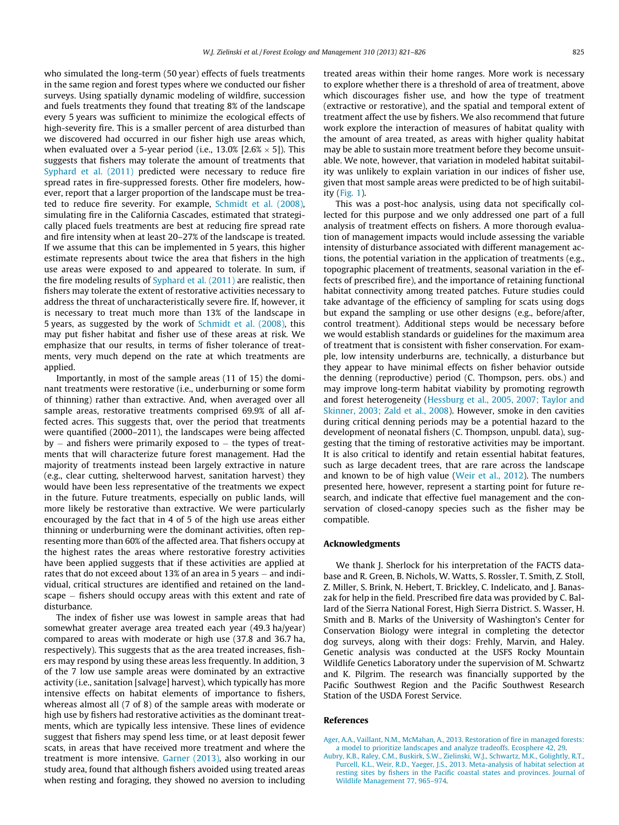who simulated the long-term (50 year) effects of fuels treatments in the same region and forest types where we conducted our fisher surveys. Using spatially dynamic modeling of wildfire, succession and fuels treatments they found that treating 8% of the landscape every 5 years was sufficient to minimize the ecological effects of high-severity fire. This is a smaller percent of area disturbed than we discovered had occurred in our fisher high use areas which, when evaluated over a 5-year period (i.e.,  $13.0\%$  [2.6%  $\times$  5]). This suggests that fishers may tolerate the amount of treatments that Syphard et al. (2011) predicted were necessary to reduce fire spread rates in fire-suppressed forests. Other fire modelers, however, report that a larger proportion of the landscape must be treated to reduce fire severity. For example, Schmidt et al. (2008), simulating fire in the California Cascades, estimated that strategically placed fuels treatments are best at reducing fire spread rate and fire intensity when at least 20–27% of the landscape is treated. If we assume that this can be implemented in 5 years, this higher estimate represents about twice the area that fishers in the high use areas were exposed to and appeared to tolerate. In sum, if the fire modeling results of Syphard et al. (2011) are realistic, then fishers may tolerate the extent of restorative activities necessary to address the threat of uncharacteristically severe fire. If, however, it is necessary to treat much more than 13% of the landscape in 5 years, as suggested by the work of Schmidt et al. (2008), this may put fisher habitat and fisher use of these areas at risk. We emphasize that our results, in terms of fisher tolerance of treatments, very much depend on the rate at which treatments are applied.

Importantly, in most of the sample areas (11 of 15) the dominant treatments were restorative (i.e., underburning or some form of thinning) rather than extractive. And, when averaged over all sample areas, restorative treatments comprised 69.9% of all affected acres. This suggests that, over the period that treatments were quantified (2000–2011), the landscapes were being affected by – and fishers were primarily exposed to – the types of treatments that will characterize future forest management. Had the majority of treatments instead been largely extractive in nature (e.g., clear cutting, shelterwood harvest, sanitation harvest) they would have been less representative of the treatments we expect in the future. Future treatments, especially on public lands, will more likely be restorative than extractive. We were particularly encouraged by the fact that in 4 of 5 of the high use areas either thinning or underburning were the dominant activities, often representing more than 60% of the affected area. That fishers occupy at the highest rates the areas where restorative forestry activities have been applied suggests that if these activities are applied at rates that do not exceed about 13% of an area in 5 years – and individual, critical structures are identified and retained on the landscape - fishers should occupy areas with this extent and rate of disturbance.

The index of fisher use was lowest in sample areas that had somewhat greater average area treated each year (49.3 ha/year) compared to areas with moderate or high use (37.8 and 36.7 ha, respectively). This suggests that as the area treated increases, fishers may respond by using these areas less frequently. In addition, 3 of the 7 low use sample areas were dominated by an extractive activity (i.e., sanitation [salvage] harvest), which typically has more intensive effects on habitat elements of importance to fishers, whereas almost all (7 of 8) of the sample areas with moderate or high use by fishers had restorative activities as the dominant treatments, which are typically less intensive. These lines of evidence suggest that fishers may spend less time, or at least deposit fewer scats, in areas that have received more treatment and where the treatment is more intensive. Garner (2013), also working in our study area, found that although fishers avoided using treated areas when resting and foraging, they showed no aversion to including treated areas within their home ranges. More work is necessary to explore whether there is a threshold of area of treatment, above which discourages fisher use, and how the type of treatment (extractive or restorative), and the spatial and temporal extent of treatment affect the use by fishers. We also recommend that future work explore the interaction of measures of habitat quality with the amount of area treated, as areas with higher quality habitat may be able to sustain more treatment before they become unsuitable. We note, however, that variation in modeled habitat suitability was unlikely to explain variation in our indices of fisher use, given that most sample areas were predicted to be of high suitability (Fig. 1).

This was a post-hoc analysis, using data not specifically collected for this purpose and we only addressed one part of a full analysis of treatment effects on fishers. A more thorough evaluation of management impacts would include assessing the variable intensity of disturbance associated with different management actions, the potential variation in the application of treatments (e.g., topographic placement of treatments, seasonal variation in the effects of prescribed fire), and the importance of retaining functional habitat connectivity among treated patches. Future studies could take advantage of the efficiency of sampling for scats using dogs but expand the sampling or use other designs (e.g., before/after, control treatment). Additional steps would be necessary before we would establish standards or guidelines for the maximum area of treatment that is consistent with fisher conservation. For example, low intensity underburns are, technically, a disturbance but they appear to have minimal effects on fisher behavior outside the denning (reproductive) period (C. Thompson, pers. obs.) and may improve long-term habitat viability by promoting regrowth and forest heterogeneity (Hessburg et al., 2005, 2007; Taylor and Skinner, 2003; Zald et al., 2008). However, smoke in den cavities during critical denning periods may be a potential hazard to the development of neonatal fishers (C. Thompson, unpubl. data), suggesting that the timing of restorative activities may be important. It is also critical to identify and retain essential habitat features, such as large decadent trees, that are rare across the landscape and known to be of high value (Weir et al., 2012). The numbers presented here, however, represent a starting point for future research, and indicate that effective fuel management and the conservation of closed-canopy species such as the fisher may be compatible.

### Acknowledgments

We thank J. Sherlock for his interpretation of the FACTS database and R. Green, B. Nichols, W. Watts, S. Rossler, T. Smith, Z. Stoll, Z. Miller, S. Brink, N. Hebert, T. Brickley, C. Indelicato, and J. Banaszak for help in the field. Prescribed fire data was provided by C. Ballard of the Sierra National Forest, High Sierra District. S. Wasser, H. Smith and B. Marks of the University of Washington's Center for Conservation Biology were integral in completing the detector dog surveys, along with their dogs: Frehly, Marvin, and Haley. Genetic analysis was conducted at the USFS Rocky Mountain Wildlife Genetics Laboratory under the supervision of M. Schwartz and K. Pilgrim. The research was financially supported by the Pacific Southwest Region and the Pacific Southwest Research Station of the USDA Forest Service.

### References

[Ager, A.A., Vaillant, N.M., McMahan, A., 2013. Restoration of fire in managed forests:](http://refhub.elsevier.com/S0378-1127(13)00642-7/h0005) [a model to prioritize landscapes and analyze tradeoffs. Ecosphere 42, 29](http://refhub.elsevier.com/S0378-1127(13)00642-7/h0005).

[Aubry, K.B., Raley, C.M., Buskirk, S.W., Zielinski, W.J., Schwartz, M.K., Golightly, R.T.,](http://refhub.elsevier.com/S0378-1127(13)00642-7/h0010) [Purcell, K.L., Weir, R.D., Yaeger, J.S., 2013. Meta-analysis of habitat selection at](http://refhub.elsevier.com/S0378-1127(13)00642-7/h0010) [resting sites by fishers in the Pacific coastal states and provinces. Journal of](http://refhub.elsevier.com/S0378-1127(13)00642-7/h0010) [Wildlife Management 77, 965–974.](http://refhub.elsevier.com/S0378-1127(13)00642-7/h0010)